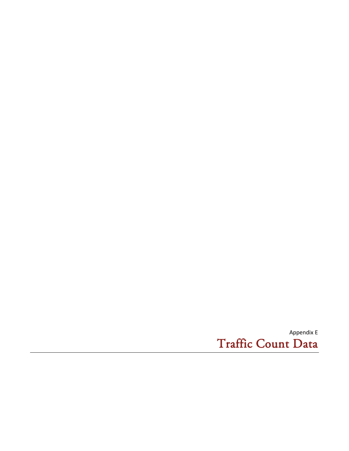Appendix E Traffic Count Data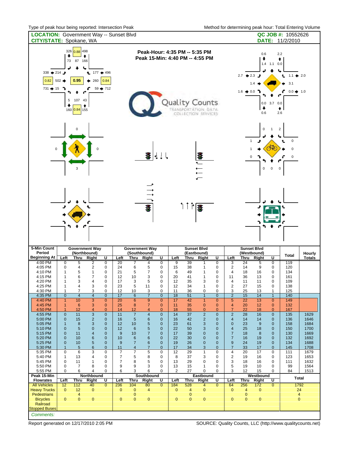| <b>CITY/STATE:</b> Spokane, WA                                                        |                                               |                                                             | <b>LOCATION:</b> Government Way -- Sunset Blvd                                             | $\sim$ 0. pour nour soing reported. interessed in                   |                                    |                                    |                                       |                                                                                                |                                  |                                                       |                                                                                                                                    |                                              |                                                                                                                                                                             |                                                 |                                   |                                                                  | othod for dotommining podit from: Total Entomig vold<br>QC JOB #: 10552626<br>DATE: 11/2/2010 |                |
|---------------------------------------------------------------------------------------|-----------------------------------------------|-------------------------------------------------------------|--------------------------------------------------------------------------------------------|---------------------------------------------------------------------|------------------------------------|------------------------------------|---------------------------------------|------------------------------------------------------------------------------------------------|----------------------------------|-------------------------------------------------------|------------------------------------------------------------------------------------------------------------------------------------|----------------------------------------------|-----------------------------------------------------------------------------------------------------------------------------------------------------------------------------|-------------------------------------------------|-----------------------------------|------------------------------------------------------------------|-----------------------------------------------------------------------------------------------|----------------|
| 338 $\div$ 214 $\div$<br>0.82<br>$731 \div 15$                                        | ٠<br>$502 \rightarrow$<br>5<br>٠              | 326 0.88 498<br>73 87 166<br>0.95<br>107 43<br>160 0.84 155 | $\bullet$<br>$177 + 496$<br>260<br>۰                                                       | 0.84 <br>$59 + 712$                                                 |                                    |                                    |                                       |                                                                                                |                                  |                                                       | Peak-Hour: 4:35 PM -- 5:35 PM<br>Peak 15-Min: 4:40 PM -- 4:55 PM<br>Quality Counts<br>TRANSPORTATION, DATA.<br>COLLECTION SERVICES |                                              | 0.6<br>2.2<br>٠<br>٠<br>1.4 1.1 0.0<br>$2.7 + 2.3$<br>$1.1 \div 2.0$<br>€<br>t.<br>1.4<br>3.1<br>$1.6 \div 0.0$ }<br>$0.0 + 1.0$<br>$0.0$ 3.7 $0.0$<br>٠<br>♠<br>2.6<br>0.6 |                                                 |                                   |                                                                  |                                                                                               |                |
| $\Omega$                                                                              |                                               | 3                                                           |                                                                                            |                                                                     |                                    |                                    | ₩                                     |                                                                                                |                                  |                                                       | $\frac{1}{\sqrt{1+\frac{1}{2}}}$                                                                                                   |                                              |                                                                                                                                                                             |                                                 | $\pmb{0}$<br>$\pmb{0}$            | $\mathbf{1}$<br>₩<br>$\mathbf 0$<br>0                            | $\overline{2}$<br>$\pmb{0}$<br>0<br>0                                                         |                |
|                                                                                       |                                               |                                                             |                                                                                            |                                                                     |                                    |                                    | Æ                                     |                                                                                                |                                  | ↑↑↑■                                                  |                                                                                                                                    |                                              |                                                                                                                                                                             |                                                 |                                   |                                                                  |                                                                                               |                |
|                                                                                       |                                               |                                                             |                                                                                            |                                                                     |                                    |                                    |                                       |                                                                                                |                                  |                                                       |                                                                                                                                    |                                              |                                                                                                                                                                             |                                                 |                                   |                                                                  |                                                                                               |                |
| 5-Min Count<br>Period                                                                 |                                               |                                                             | <b>Government Way</b><br>(Northbound)                                                      |                                                                     |                                    |                                    | <b>Government Way</b><br>(Southbound) |                                                                                                |                                  |                                                       | <b>Sunset Blvd</b><br>(Eastbound)                                                                                                  |                                              |                                                                                                                                                                             |                                                 | <b>Sunset Blvd</b><br>(Westbound) |                                                                  | <b>Total</b>                                                                                  | Hourly         |
| <b>Beginning At</b><br>4:00 PM<br>4:05 PM<br>4:10 PM<br>4:15 PM<br>4:20 PM<br>4:25 PM | Left<br>0<br>0<br>1<br>1<br>1<br>$\mathbf{1}$ | 5<br>4<br>5<br>6<br>3<br>4                                  | Thru Right<br>2<br>$\overline{2}$<br>$\mathbf{1}$<br>$\overline{7}$<br>$\overline{4}$<br>3 | $\overline{U}$<br>$\overline{0}$<br>0<br>0<br>$\mathbf 0$<br>0<br>0 | Left<br>20<br>24<br>21<br>12<br>17 | 7<br>6<br>5<br>10<br>3             | Thru Right<br>4<br>5<br>7<br>3<br>5   | U<br>$\overline{0}$<br>$\mathbf 0$<br>$\mathbf 0$<br>$\mathbf 0$<br>$\mathbf 0$<br>$\mathbf 0$ | Left<br>9<br>15<br>6<br>20<br>12 | Thru<br>$\overline{39}$<br>38<br>49<br>41<br>35<br>34 | Right<br>1<br>1<br>1<br>1<br>3<br>$\mathbf{1}$                                                                                     | U<br>$\overline{0}$<br>0<br>0<br>0<br>0<br>0 | Left<br>3<br>$\overline{2}$<br>$\overline{\mathbf{4}}$<br>11<br>4                                                                                                           | Thru<br>$\overline{24}$<br>14<br>18<br>36<br>11 | Right<br>5<br>9<br>16<br>13<br>11 | U<br>$\overline{0}$<br>$\mathbf 0$<br>0<br>0<br>0<br>$\mathbf 0$ | 119<br>120<br>134<br>161<br>109                                                               | <b>Totals</b>  |
| 4:30 PM                                                                               | 1                                             | 7                                                           | 3                                                                                          | 0                                                                   | 23<br>12                           | 5<br>10                            | 11<br>3                               | 0                                                                                              | 12<br>11                         | 36                                                    | 0                                                                                                                                  | 0                                            | $\overline{\mathbf{c}}$<br>3                                                                                                                                                | 27<br>25                                        | 15<br>13                          | 1                                                                | 138<br>125                                                                                    |                |
| 4:35 PM<br>4:40 PM                                                                    | $\mathbf 0$<br>$\mathbf{1}$                   | $\overline{4}$<br>10                                        | $\overline{4}$<br>$\overline{3}$                                                           | $\mathbf{0}$<br>$\mathbf{0}$                                        | 17<br>20                           | $6\phantom{1}6$<br>$6\phantom{1}6$ | $\overline{7}$<br>$9\,$               | $\mathbf{0}$<br>$\mathbf{0}$                                                                   | 18<br>17                         | 51<br>42                                              | $\mathbf{1}$<br>$\mathbf{1}$                                                                                                       | $\mathbf{0}$<br>$\mathbf{0}$                 | $\overline{2}$<br>$\overline{5}$                                                                                                                                            | 15<br>22                                        | 14<br>13                          | $\mathbf{1}$<br>$\mathbf{0}$                                     | 140<br>149                                                                                    |                |
| 4:45 PM                                                                               | $\mathbf{1}$                                  | 6                                                           | 3                                                                                          | $\mathbf{0}$                                                        | 25                                 | 8                                  | $\overline{7}$                        | $\overline{0}$                                                                                 | 11                               | 35                                                    | $\mathbf{0}$                                                                                                                       | $\mathbf{0}$                                 | $\overline{4}$                                                                                                                                                              | 20                                              | 12                                | $\mathbf{0}$                                                     | 132                                                                                           |                |
| 4:50 PM<br>4:55 PM                                                                    | $\mathbf 1$<br>$\mathbf{0}$                   | 12<br>11                                                    | $\overline{4}$<br>3                                                                        | $\mathbf{0}$<br>$\mathbf{0}$                                        | 14<br>11                           | 12<br>$\overline{7}$               | 4<br>$\overline{4}$                   | $\mathbf{0}$<br>$\mathbf{0}$                                                                   | 18<br>14                         | 55<br>37                                              | $\mathbf 0$<br>$\sqrt{2}$                                                                                                          | $\mathbf{0}$<br>$\mathbf{0}$                 | $\overline{7}$<br>$\overline{2}$                                                                                                                                            | 22<br>28                                        | 18<br>16                          | $\mathbf 0$<br>$\mathbf{0}$                                      | 167<br>135                                                                                    | 1629           |
| 5:00 PM                                                                               | $\mathbf 0$                                   | 15                                                          | $\overline{2}$                                                                             | $\mathbf 0$                                                         | 16                                 | $\overline{5}$                     | 6                                     | $\mathbf{0}$                                                                                   | 16                               | 42                                                    | $\overline{2}$                                                                                                                     | $\mathbf 0$                                  | $\overline{4}$                                                                                                                                                              | 14                                              | 14                                | $\mathbf 0$                                                      | 136                                                                                           | 1646           |
| 5:05 PM<br>5:10 PM                                                                    | $\mathbf{1}$<br>0                             | 8<br>5                                                      | 3<br>$\mathbf 0$                                                                           | $\mathbf 0$<br>$\mathbf 0$                                          | 12<br>12                           | 10<br>6                            | 5<br>5                                | $\mathbf{0}$<br>$\mathbf 0$                                                                    | 23<br>22                         | 61<br>50                                              | 3<br>3                                                                                                                             | $\mathbf 0$<br>$\mathbf 0$                   | $\mathbf 0$<br>$\overline{4}$                                                                                                                                               | 23<br>25                                        | 9<br>18                           | $\mathbf 0$<br>$\mathbf 0$                                       | 158<br>150                                                                                    | 1684<br>1700   |
| 5:15 PM                                                                               | 0                                             | 11                                                          | $\overline{4}$                                                                             | $\mathbf{0}$                                                        | 9                                  | 10                                 | $\overline{7}$                        | $\mathbf 0$                                                                                    | 17                               | 39                                                    | $\mathbf 0$                                                                                                                        | $\mathbf 0$                                  | $\overline{7}$                                                                                                                                                              | 18                                              | 8                                 | $\mathbf 0$                                                      | 130                                                                                           | 1669           |
| 5:20 PM<br>5:25 PM                                                                    | 0<br>0                                        | 10<br>10                                                    | 6<br>$5\phantom{.0}$                                                                       | $\mathbf 0$<br>$\mathbf{0}$                                         | 10<br>9                            | $6\phantom{1}6$<br>$\overline{7}$  | 6<br>$\boldsymbol{6}$                 | $\mathbf 0$<br>$\mathbf{0}$                                                                    | 22<br>19                         | 30<br>26                                              | $\mathbf 0$<br>$\mathbf 0$                                                                                                         | $\mathbf{0}$<br>$\mathbf{0}$                 | $\overline{7}$<br>$\boldsymbol{9}$                                                                                                                                          | 16<br>24                                        | 19<br>19                          | $\mathbf 0$<br>$\mathbf 0$                                       | 132<br>134                                                                                    | 1692<br>1688   |
| 5:30 PM                                                                               | $\overline{1}$                                | 5                                                           | 6                                                                                          | $\mathbf{0}$                                                        | 11                                 | $\overline{4}$                     | $\overline{7}$                        | $\overline{0}$                                                                                 | 17                               | 34                                                    | 3                                                                                                                                  | $\mathbf{0}$                                 | $\overline{7}$                                                                                                                                                              | 33                                              | 17                                | $\mathbf 0$                                                      | 145                                                                                           | 1708           |
| 5:35 PM<br>5:40 PM                                                                    | 0<br>1                                        | 6<br>13                                                     | 3<br>4                                                                                     | 0<br>0                                                              | $\overline{7}$<br>$\overline{7}$   | 7<br>5                             | 5<br>8                                | 0<br>0                                                                                         | 12<br>8                          | 29<br>37                                              | 1<br>3                                                                                                                             | $\pmb{0}$<br>0                               | $\pmb{4}$<br>$\overline{\mathbf{c}}$                                                                                                                                        | 20<br>19                                        | 17<br>16                          | 0<br>0                                                           | 111<br>123                                                                                    | 1679<br>1653   |
| 5:45 PM                                                                               | 0                                             | 11                                                          | 1                                                                                          | 0                                                                   | $\overline{7}$                     | 8                                  | 5                                     | $\mathbf 0$                                                                                    | 13                               | 29                                                    | 0                                                                                                                                  | 0                                            | 3                                                                                                                                                                           | 18                                              | 16                                | 0                                                                | 111                                                                                           | 1632           |
| 5:50 PM<br>5:55 PM                                                                    | 0<br>0                                        | $\overline{7}$<br>6                                         | 8<br>4                                                                                     | $\mathbf 0$<br>$\mathbf 0$                                          | 9<br>6                             | 9<br>3                             | 3<br>6                                | 0<br>$\mathbf 0$                                                                               | 13<br>2                          | 15<br>27                                              | 1<br>0                                                                                                                             | 0<br>0                                       | 5<br>3                                                                                                                                                                      | 19<br>12                                        | 10<br>15                          | 0<br>0                                                           | 99<br>84                                                                                      | 1564<br>1513   |
| Peak 15-Min                                                                           |                                               |                                                             | Northbound                                                                                 |                                                                     |                                    |                                    | Southbound                            |                                                                                                |                                  |                                                       | Eastbound                                                                                                                          |                                              |                                                                                                                                                                             |                                                 | Westbound                         |                                                                  | <b>Total</b>                                                                                  |                |
| <b>Flowrates</b><br><b>All Vehicles</b>                                               | Left<br>12                                    | <b>Thru</b><br>112                                          | Right<br>40                                                                                | U<br>$\overline{0}$                                                 | Left<br>236                        | <b>Thru</b><br>104                 | Right<br>80                           | U<br>$\overline{0}$                                                                            | Left<br>184                      | Thru<br>528                                           | Right<br>$\overline{4}$                                                                                                            | U<br>$\overline{0}$                          | Left<br>64                                                                                                                                                                  | Thru<br>256                                     | Right<br>172                      | U<br>$\overline{0}$                                              | 1792                                                                                          |                |
| <b>Heavy Trucks</b><br><b>Pedestrians</b>                                             | $\overline{0}$                                | 12<br>4                                                     | $\overline{0}$                                                                             |                                                                     | $\mathbf 0$                        | $\mathbf 0$<br>0                   | 4                                     |                                                                                                | $\mathbf 0$                      | $\overline{4}$<br>$\mathbf{0}$                        | $\mathbf 0$                                                                                                                        |                                              | $\mathbf 0$                                                                                                                                                                 | $\overline{4}$<br>$\mathbf{0}$                  | $\mathbf{0}$                      |                                                                  | 24                                                                                            | $\overline{4}$ |

Railroad Stopped Buses *Comments:*

Report generated on 12/17/2010 2:05 PM SOURCE: Quality Counts, LLC (http://www.qualitycounts.net)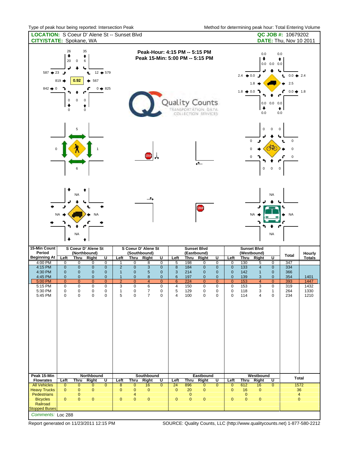| <b>LOCATION:</b> S Coeur D' Alene St -- Sunset Blvd<br>CITY/STATE: Spokane, WA |                                                                |                            |                                              |                                   |                                |                                                                                                                                         |                                      |                                                                                                                                                         |                                 |             |                            |                        |                             |                                                                                                                                                                                                                        |                                 |                           | QC JOB #: 10679202<br><b>DATE: Thu, Nov 10 2011</b> |                         |  |
|--------------------------------------------------------------------------------|----------------------------------------------------------------|----------------------------|----------------------------------------------|-----------------------------------|--------------------------------|-----------------------------------------------------------------------------------------------------------------------------------------|--------------------------------------|---------------------------------------------------------------------------------------------------------------------------------------------------------|---------------------------------|-------------|----------------------------|------------------------|-----------------------------|------------------------------------------------------------------------------------------------------------------------------------------------------------------------------------------------------------------------|---------------------------------|---------------------------|-----------------------------------------------------|-------------------------|--|
| $587 + 23$<br>$842 \div 0$                                                     | 26<br>۰<br>20<br>ⅎ<br>819 ■<br>$\mathsf 0$<br>۰<br>$\mathsf 0$ | $\mathbf 0$<br>0.92<br>0   | 35<br>٠<br>6<br>Ł<br>567<br>۰<br>0<br>٠<br>0 | $12 + 579$<br>$0 \rightarrow 825$ |                                | Peak-Hour: 4:15 PM -- 5:15 PM<br>Peak 15-Min: 5:00 PM -- 5:15 PM<br>Quality Counts<br><b>TRANSPORTATION DATA</b><br>COLLECTION SERVICES |                                      |                                                                                                                                                         |                                 |             |                            |                        |                             | 0.0<br>0.0<br>۰<br>٠<br>$0.0 \quad 0.0 \quad 0.0$<br>↳<br>$2.4 \div 0.0$ $\rightarrow$<br>$0.0 \div 2.4$<br>Ł<br>1.8<br>2.5<br>$1.8 \div 0.0$<br>ç<br>$0.0 + 1.8$<br>$0.0 \t0.0 \t0.0$<br>۰<br>$\bullet$<br>0.0<br>0.0 |                                 |                           |                                                     |                         |  |
| $\pmb{0}$                                                                      |                                                                |                            | <b>STOP</b>                                  | $\overline{\phantom{a}}$          |                                |                                                                                                                                         |                                      | $\pmb{0}$<br>$\mathbf 0$<br>$\mathbf 0$<br>$\mathbf 0$<br>$\pmb{0}$<br>t.<br>$\sim$<br>$\Omega$<br>0<br>0<br>0<br>$\pmb{0}$<br>$\pmb{0}$<br>$\mathbf 0$ |                                 |             |                            |                        |                             |                                                                                                                                                                                                                        |                                 |                           |                                                     |                         |  |
| <b>NA</b><br><b>NA</b><br><b>NA</b><br>NA<br>⋅                                 |                                                                |                            |                                              |                                   |                                |                                                                                                                                         | $\rightarrow$<br>S Coeur D' Alene St |                                                                                                                                                         |                                 |             | STOP<br><b>Sunset Blvd</b> |                        |                             |                                                                                                                                                                                                                        | <b>NA</b><br><b>Sunset Blvd</b> | <b>NA</b><br><b>NA</b>    | <b>NA</b>                                           |                         |  |
| 15-Min Count<br>Period<br><b>Beginning At</b>                                  | Left                                                           | <b>Thru</b>                | S Coeur D' Alene St<br>(Northbound)<br>Right | U                                 | Left                           | (Southbound)<br>Thru                                                                                                                    | Right                                | Ū                                                                                                                                                       | Left                            | (Eastbound) | Thru Right                 | $\overline{U}$         | Left                        | Thru                                                                                                                                                                                                                   | (Westbound)<br>Right            | $\overline{\mathsf{U}}$   | <b>Total</b>                                        | Hourly<br><b>Totals</b> |  |
| 4:00 PM                                                                        | $\overline{0}$                                                 | 0                          | 0                                            | $\overline{0}$                    | $\overline{1}$                 | $\overline{0}$                                                                                                                          | 8                                    | $\overline{0}$                                                                                                                                          | 5                               | 198         | 0                          | $\overline{0}$         | $\overline{0}$              | 130                                                                                                                                                                                                                    | 5                               | $\overline{0}$            | 347                                                 |                         |  |
| 4:15 PM<br>4:30 PM                                                             | $\mathbf 0$<br>$\mathbf 0$                                     | $\mathbf 0$<br>$\mathbf 0$ | $\pmb{0}$<br>$\pmb{0}$                       | $\pmb{0}$<br>$\mathbf 0$          | $\overline{2}$<br>$\mathbf{1}$ | $\mathbf 0$<br>$\mathbf 0$                                                                                                              | 3<br>5                               | $\bf 0$<br>$\pmb{0}$                                                                                                                                    | $\bf8$<br>3                     | 184<br>214  | $\pmb{0}$<br>$\pmb{0}$     | $\pmb{0}$<br>$\pmb{0}$ | $\pmb{0}$<br>$\pmb{0}$      | $\overline{133}$<br>142                                                                                                                                                                                                | $\overline{4}$<br>$\mathbf{1}$  | $\pmb{0}$<br>$\mathbf{0}$ | 334<br>366                                          |                         |  |
| 4:45 PM                                                                        | $\mathbf 0$                                                    | 0                          | $\pmb{0}$                                    | $\pmb{0}$                         | $\mathbf{1}$                   | $\mathbf{0}$                                                                                                                            | $\bf 8$                              | $\pmb{0}$                                                                                                                                               | $\,6$                           | 197         | $\mathbf 0$                | $\pmb{0}$              | $\pmb{0}$                   | 139                                                                                                                                                                                                                    | 3                               | $\mathbf{0}$              | 354                                                 | 1401                    |  |
| 5:00 PM<br>5:15 PM                                                             | $\overline{0}$<br>$\pmb{0}$                                    | $\overline{0}$<br>0        | $\mathbf{0}$<br>$\pmb{0}$                    | $\mathbf{0}$<br>0                 | $\overline{2}$<br>3            | $\mathbf{0}$<br>$\mathbf 0$                                                                                                             | 4<br>6                               | $\overline{0}$<br>0                                                                                                                                     | $6\phantom{1}6$<br>4            | 224<br>150  | $\mathbf{0}$<br>0          | $\overline{0}$<br>0    | $\overline{0}$<br>0         | 153<br>153                                                                                                                                                                                                             | 4<br>3                          | $\mathbf{0}$<br>0         | 393<br>319                                          | 1447<br>1432            |  |
| 5:30 PM                                                                        | $\pmb{0}$                                                      | 0                          | 0                                            | $\pmb{0}$                         | $\mathbf{1}$                   | 0                                                                                                                                       | $\overline{7}$                       | $\pmb{0}$                                                                                                                                               | 5                               | 129         | 0                          | 0                      | 0                           | 118                                                                                                                                                                                                                    | 3                               | $\mathbf{1}$              | 264                                                 | 1330                    |  |
| 5:45 PM<br>Peak 15-Min                                                         | $\mathbf 0$                                                    | $\pmb{0}$                  | 0<br>Northbound                              | 0                                 | 5                              | $\mathbf 0$                                                                                                                             | $\overline{7}$<br>Southbound         | $\mathbf 0$                                                                                                                                             | 4                               | 100         | 0<br>Eastbound             | 0                      | 0                           | 114                                                                                                                                                                                                                    | 4<br>Westbound                  | 0                         | 234                                                 | 1210                    |  |
| <b>Flowrates</b>                                                               | Left                                                           | Thru                       | <b>Right</b>                                 | U                                 | Left                           | Thru                                                                                                                                    | <b>Right</b>                         | U                                                                                                                                                       | <b>Left</b>                     | Thru        | Right                      | U                      | Left                        | Thru                                                                                                                                                                                                                   | Right                           | U                         |                                                     | Total                   |  |
| <b>All Vehicles</b><br><b>Heavy Trucks</b>                                     | $\overline{0}$<br>$\mathbf{0}$                                 | 0<br>$\pmb{0}$             | $\overline{0}$<br>0                          | $\overline{0}$                    | 8<br>$\pmb{0}$                 | 0<br>$\mathbf 0$                                                                                                                        | 16<br>$\mathbf{0}$                   | $\overline{\overline{0}}$                                                                                                                               | $\overline{24}$<br>$\mathbf{0}$ | 896<br>20   | $\overline{0}$<br>0        | $\overline{0}$         | $\overline{0}$<br>$\pmb{0}$ | 612<br>16                                                                                                                                                                                                              | 16<br>$\mathbf 0$               | $\overline{0}$            | 36                                                  | 1572                    |  |
| Pedestrians                                                                    |                                                                | 0                          |                                              |                                   |                                | 4                                                                                                                                       |                                      |                                                                                                                                                         |                                 | $\pmb{0}$   |                            |                        |                             | $\pmb{0}$                                                                                                                                                                                                              |                                 |                           |                                                     | $\overline{4}$          |  |
| <b>Bicycles</b><br>Railroad                                                    | $\pmb{0}$                                                      | $\pmb{0}$                  | $\mathbf 0$                                  |                                   | $\bf 0$                        | $\mathbf{0}$                                                                                                                            | $\pmb{0}$                            |                                                                                                                                                         | $\mathbf{0}$                    | $\pmb{0}$   | $\pmb{0}$                  |                        | $\pmb{0}$                   | $\pmb{0}$                                                                                                                                                                                                              | $\pmb{0}$                       |                           | $\mathbf 0$                                         |                         |  |
| <b>Stopped Buses</b>                                                           |                                                                |                            |                                              |                                   |                                |                                                                                                                                         |                                      |                                                                                                                                                         |                                 |             |                            |                        |                             |                                                                                                                                                                                                                        |                                 |                           |                                                     |                         |  |

*Comments:* Loc 288

Report generated on 11/23/2011 12:15 PM SOURCE: Quality Counts, LLC (http://www.qualitycounts.net) 1-877-580-2212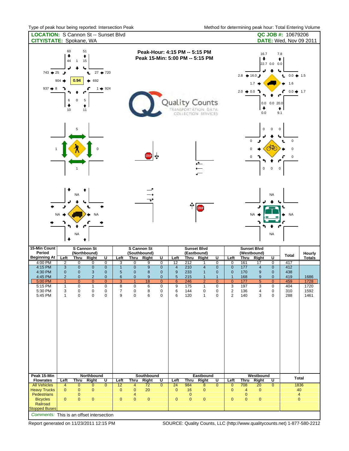| <b>LOCATION: S Cannon St -- Sunset Blvd</b><br><b>CITY/STATE:</b> Spokane, WA                                                        |                                                                         |                                                                                  |                                                                                                 |                                                                                                  |                                                                             |                                                                              |                                                    |                                                                                        |                                                                              |                                                      |                                                                                                                                                |                                                                                                               |                                                                                                             |                                                                 |                                                             |                                                                                     | QC JOB #: 10679206<br><b>DATE:</b> Wed, Nov 09 2011  |                                      |
|--------------------------------------------------------------------------------------------------------------------------------------|-------------------------------------------------------------------------|----------------------------------------------------------------------------------|-------------------------------------------------------------------------------------------------|--------------------------------------------------------------------------------------------------|-----------------------------------------------------------------------------|------------------------------------------------------------------------------|----------------------------------------------------|----------------------------------------------------------------------------------------|------------------------------------------------------------------------------|------------------------------------------------------|------------------------------------------------------------------------------------------------------------------------------------------------|---------------------------------------------------------------------------------------------------------------|-------------------------------------------------------------------------------------------------------------|-----------------------------------------------------------------|-------------------------------------------------------------|-------------------------------------------------------------------------------------|------------------------------------------------------|--------------------------------------|
| $743 + 25$<br>$937 + 8$                                                                                                              | 60<br>۰<br>44<br>ⅎ<br>$904 =$<br>6<br>۰<br>10                           | 51<br>٠<br>15<br>$\mathbf{1}$<br>0.94<br>$\pmb{0}$<br>5<br>٠<br>11               | Ł<br>692                                                                                        | $27 + 720$<br>$1 \div 924$                                                                       |                                                                             |                                                                              |                                                    |                                                                                        |                                                                              |                                                      | Peak-Hour: 4:15 PM -- 5:15 PM<br>Peak 15-Min: 5:00 PM -- 5:15 PM<br><b>Quality Counts</b><br><b>TRANSPORTATION DATA</b><br>COLLECTION SERVICES |                                                                                                               |                                                                                                             | $2.8 + 16.0j$<br>$2.0 \div 0.0$ }                               | 16.7<br>٠<br>1.7<br>۰<br>0.0                                | 7.8<br>٠<br>22.7 0.0 0.0<br>ч<br>$0.0$ 0.0 20.0<br>٠<br>9.1                         | $0.0 + 1.5$<br>t.<br>1.6<br>$0.0 + 1.7$              |                                      |
|                                                                                                                                      |                                                                         | 5                                                                                |                                                                                                 |                                                                                                  |                                                                             |                                                                              | <b>STOP</b>                                        | ∣∲                                                                                     |                                                                              |                                                      | $\ddot{\uparrow}$                                                                                                                              |                                                                                                               |                                                                                                             |                                                                 | $\pmb{0}$<br>$\mathsf 0$<br>و<br>$\Omega$<br>0<br>$\pmb{0}$ | $\mathbf 0$<br>$\mathbf 0$<br>$\sqrt{N}$<br>$\pmb{0}$<br>$\mathbf 0$                | $\pmb{0}$<br>t.<br>0<br>0                            |                                      |
|                                                                                                                                      | ÷<br><b>NA</b><br>۰                                                     | <b>NA</b><br>NA                                                                  | <b>NA</b>                                                                                       |                                                                                                  |                                                                             |                                                                              | ᠊ᢏᢣ                                                |                                                                                        |                                                                              | ∳                                                    | <b>STOP</b>                                                                                                                                    |                                                                                                               |                                                                                                             |                                                                 | <b>NA</b>                                                   | <b>NA</b><br>۴<br><b>NA</b>                                                         | <b>NA</b>                                            |                                      |
| 15-Min Count<br>Period<br><b>Beginning At</b>                                                                                        | Left                                                                    | S Cannon St<br>(Northbound)<br><b>Thru</b>                                       | Right                                                                                           | $\overline{\mathsf{U}}$                                                                          | Left                                                                        | <b>Thru</b>                                                                  | S Cannon St<br>(Southbound)<br><b>Right</b>        | <u>U</u>                                                                               | Left                                                                         | <b>Thru</b>                                          | <b>Sunset Blvd</b><br>(Eastbound)<br>Right                                                                                                     | $\overline{\mathsf{U}}$                                                                                       | Left                                                                                                        | <b>Thru</b>                                                     | <b>Sunset Blvd</b><br>(Westbound)<br><b>Right</b>           | $\overline{\mathsf{U}}$                                                             | <b>Total</b>                                         | Hourly<br><b>Totals</b>              |
| 4:00 PM<br>4:15 PM<br>4:30 PM<br>4:45 PM<br>5:00 PM<br>5:15 PM<br>5:30 PM<br>5:45 PM                                                 | 2<br>3<br>$\mathbf{0}$<br>$\overline{2}$<br>1<br>1<br>3<br>$\mathbf{1}$ | $\overline{0}$<br>$\mathbf 0$<br>0<br>$\mathbf 0$<br>$\mathbf{0}$<br>0<br>0<br>0 | 0<br>$\pmb{0}$<br>$\mathbf{3}$<br>$\mathbf 2$<br>$\mathbf{0}$<br>$\mathbf{1}$<br>0<br>$\pmb{0}$ | $\overline{0}$<br>$\pmb{0}$<br>$\pmb{0}$<br>$\pmb{0}$<br>$\overline{0}$<br>0<br>0<br>$\mathbf 0$ | 3<br>$\overline{1}$<br>5<br>$6\phantom{1}$<br>3<br>8<br>$\overline{7}$<br>9 | 0<br>$\mathbf 0$<br>$\mathbf 0$<br>$\mathbf 0$<br>1<br>0<br>0<br>$\mathbf 0$ | 9<br>$9\,$<br>8<br>$9\,$<br>18<br>6<br>8<br>6      | $\overline{0}$<br>$\pmb{0}$<br>$\pmb{0}$<br>$\pmb{0}$<br>$\overline{0}$<br>0<br>0<br>0 | 12<br>$\overline{\mathbf{4}}$<br>$9\,$<br>5<br>$6\phantom{1}$<br>9<br>6<br>6 | 212<br>210<br>233<br>215<br>246<br>175<br>144<br>120 | 1<br>$\overline{\mathbf{4}}$<br>$\mathbf{1}$<br>$\mathbf{1}$<br>$\overline{2}$<br>$\mathbf{1}$<br>0<br>$\mathbf{1}$                            | $\overline{0}$<br>$\mathbf 0$<br>$\pmb{0}$<br>$\mathbf{1}$<br>$\overline{0}$<br>0<br>$\pmb{0}$<br>$\mathbf 0$ | 0<br>$\pmb{0}$<br>$\mathbf{0}$<br>$\overline{1}$<br>$\overline{0}$<br>3<br>$\overline{2}$<br>$\overline{2}$ | 161<br>$\frac{1}{77}$<br>170<br>168<br>177<br>197<br>136<br>140 | 17<br>$\overline{4}$<br>9<br>$9\,$<br>5<br>3<br>4<br>3      | $\overline{0}$<br>$\pmb{0}$<br>$\pmb{0}$<br>$\pmb{0}$<br>0<br>0<br>$\mathbf 0$<br>0 | 417<br>412<br>438<br>419<br>459<br>404<br>310<br>288 | 1686<br>1728<br>1720<br>1592<br>1461 |
| Peak 15-Min                                                                                                                          |                                                                         |                                                                                  | Northbound                                                                                      |                                                                                                  |                                                                             |                                                                              | Southbound                                         |                                                                                        |                                                                              |                                                      | Eastbound                                                                                                                                      |                                                                                                               |                                                                                                             |                                                                 | Westbound                                                   |                                                                                     |                                                      | <b>Total</b>                         |
| <b>Flowrates</b><br><b>All Vehicles</b><br><b>Heavy Trucks</b><br>Pedestrians<br><b>Bicycles</b><br>Railroad<br><b>Stopped Buses</b> | Left<br>$\overline{4}$<br>$\mathbf{0}$<br>$\mathbf{0}$                  | <b>Thru</b><br>$\overline{0}$<br>$\mathbf 0$<br>0<br>0                           | Right<br>$\overline{0}$<br>$\mathbf{0}$<br>$\pmb{0}$                                            | U<br>$\overline{0}$                                                                              | Left<br>12<br>$\mathbf 0$<br>$\mathbf 0$                                    | Thru<br>4<br>$\mathbf{0}$<br>4<br>0                                          | <b>Right</b><br>$\overline{72}$<br>20<br>$\pmb{0}$ | U<br>$\overline{0}$                                                                    | Left<br>24<br>$\mathbf 0$<br>$\pmb{0}$                                       | Thru<br>984<br>16<br>$\mathbf 0$<br>$\pmb{0}$        | Right<br>$\overline{\mathbf{8}}$<br>0<br>$\pmb{0}$                                                                                             | U<br>$\overline{0}$                                                                                           | Left<br>$\overline{0}$<br>$\mathbf 0$<br>$\pmb{0}$                                                          | Thru<br>708<br>$\overline{4}$<br>$\mathbf 0$<br>$\pmb{0}$       | Right<br>20<br>$\mathbf{0}$<br>$\overline{0}$               | U<br>$\overline{0}$                                                                 | $\pmb{0}$                                            | 1836<br>40<br>$\overline{4}$         |
| Comments: This is an offset intersection                                                                                             |                                                                         |                                                                                  |                                                                                                 |                                                                                                  |                                                                             |                                                                              |                                                    |                                                                                        |                                                                              |                                                      |                                                                                                                                                |                                                                                                               |                                                                                                             |                                                                 |                                                             |                                                                                     |                                                      |                                      |

**Communist Comments:** Report generated on 11/23/2011 12:15 PM

SOURCE: Quality Counts, LLC (http://www.qualitycounts.net) 1-877-580-2212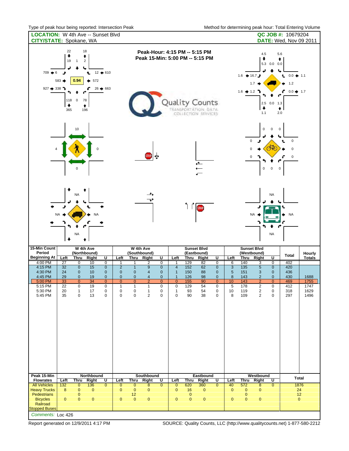| <b>LOCATION:</b> W 4th Ave -- Sunset Blvd<br>CITY/STATE: Spokane, WA                                                                                                                           |                                                                                                                                                                      |                                                                                                                                                           |                                                                                                                                                                                                                                                                                     |                                                                                                                                                                                                                              | QC JOB #: 10679204<br><b>DATE:</b> Wed, Nov 09 2011     |  |  |  |  |
|------------------------------------------------------------------------------------------------------------------------------------------------------------------------------------------------|----------------------------------------------------------------------------------------------------------------------------------------------------------------------|-----------------------------------------------------------------------------------------------------------------------------------------------------------|-------------------------------------------------------------------------------------------------------------------------------------------------------------------------------------------------------------------------------------------------------------------------------------|------------------------------------------------------------------------------------------------------------------------------------------------------------------------------------------------------------------------------|---------------------------------------------------------|--|--|--|--|
| 22<br>18<br>۰<br>٠<br>19<br>$\mathbf{1}$<br>$\sqrt{2}$<br>$709 + 6$<br>Ł<br>0.94<br>$583 -$<br>٠<br>927 $\rightarrow$ 338 $\rightarrow$<br>ç<br>118<br>$\pmb{0}$<br>78<br>۰<br>٠<br>365<br>196 | $12 + 610$<br>572<br>$26 \div 663$                                                                                                                                   |                                                                                                                                                           | Peak-Hour: 4:15 PM -- 5:15 PM<br>Peak 15-Min: 5:00 PM -- 5:15 PM<br>Quality Counts<br>TRANSPORTATION, DATA<br>COLLECTION SERVICES                                                                                                                                                   | 4.5<br>5.6<br>۰<br>٠<br>5.3 0.0 0.0<br>↳<br>1.6 $\div$ 16.7 $\rightarrow$<br>$0.0 \div 1.1$<br>Ł<br>1.2<br>1.7<br>$1.6 \div 1.2$<br>ç<br>$0.0 + 1.7$<br>2.5 0.0 1.3<br>۰<br>$\bullet$<br>2.0<br>1.1                          |                                                         |  |  |  |  |
| 10<br>0                                                                                                                                                                                        |                                                                                                                                                                      | ∣∗<br>STOP.                                                                                                                                               | $\overline{\mathbf{t}}$                                                                                                                                                                                                                                                             | $\pmb{0}$<br>$\mathbf 0$<br>$\mathbf 0$<br>Ĵ<br>CNO<br>$\mathbf 0$<br>0<br>$\boldsymbol{0}$<br>$\pmb{0}$                                                                                                                     | $\mathbf 0$<br>0<br>t.<br>0<br>0<br>$\pmb{0}$           |  |  |  |  |
| ÷<br><b>NA</b><br><b>NA</b><br>NA<br>⋅<br>15-Min Count<br>W 4th Ave                                                                                                                            | <b>NA</b>                                                                                                                                                            | ∸<br>$\rightarrow$<br>W 4th Ave                                                                                                                           | STOP<br><b>Sunset Blvd</b>                                                                                                                                                                                                                                                          | <b>NA</b><br><b>NA</b><br><b>NA</b><br><b>Sunset Blvd</b>                                                                                                                                                                    | <b>NA</b>                                               |  |  |  |  |
| Period<br>(Northbound)<br><b>Beginning At</b>                                                                                                                                                  |                                                                                                                                                                      | (Southbound)                                                                                                                                              | (Eastbound)                                                                                                                                                                                                                                                                         | (Westbound)                                                                                                                                                                                                                  | Hourly<br><b>Total</b>                                  |  |  |  |  |
| <b>Thru</b><br>Left<br>4:00 PM<br>27<br>0                                                                                                                                                      | $\overline{\mathsf{U}}$<br>Right<br>Left<br>$\overline{0}$<br>10<br>1                                                                                                | Thru<br>Right<br>1<br>2                                                                                                                                   | U<br>$\overline{U}$<br>Left<br>Thru<br>Right<br>$\overline{0}$<br>129<br>$\overline{0}$<br>82<br>1                                                                                                                                                                                  | U<br>Left<br>Thru<br>Right<br>140<br>$\overline{0}$<br>6<br>3                                                                                                                                                                | <b>Totals</b><br>402                                    |  |  |  |  |
| $\mathbf 0$<br>4:15 PM<br>32<br>4:30 PM<br>24<br>$\mathbf 0$<br>4:45 PM<br>29<br>$\mathbf 0$<br>$\overline{0}$<br>5:00 PM<br>33<br>5:15 PM<br>22<br>0                                          | $\pmb{0}$<br>$\overline{2}$<br>15<br>$\bf 0$<br>10<br>$\mathbf 0$<br>19<br>$\pmb{0}$<br>$\pmb{0}$<br>34<br>$\overline{0}$<br>$\mathbf{0}$<br>19<br>0<br>$\mathbf{1}$ | $\mathbf{1}$<br>$\boldsymbol{9}$<br>4<br>$\mathbf 0$<br>$\mathbf 0$<br>$\overline{4}$<br>$\overline{0}$<br>$\overline{2}$<br>$\mathbf{1}$<br>$\mathbf{1}$ | $\mathbf 0$<br>$\overline{4}$<br>152<br>62<br>$\pmb{0}$<br>$\overline{0}$<br>$\mathbf{1}$<br>$\mathbf 0$<br>150<br>88<br>$\pmb{0}$<br>126<br>98<br>$\pmb{0}$<br>$\mathbf{1}$<br>$\overline{0}$<br>$\overline{0}$<br>$\overline{0}$<br>155<br>90<br>0<br>$\pmb{0}$<br>129<br>54<br>0 | $\overline{3}$<br>135<br>$\sqrt{5}$<br>$\pmb{0}$<br>$\sqrt{5}$<br>151<br>$\mathbf{3}$<br>$\mathbf 0$<br>$\bf 8$<br>143<br>$\overline{c}$<br>$\pmb{0}$<br>10<br>143<br>$\overline{2}$<br>$\overline{0}$<br>5<br>178<br>0<br>2 | 420<br>436<br>430<br>1688<br>469<br>1755<br>412<br>1747 |  |  |  |  |
| 5:30 PM<br>20<br>1<br>5:45 PM<br>35<br>0<br>Peak 15-Min                                                                                                                                        | 17<br>0<br>0<br>13<br>0<br>$\mathbf 0$<br>Northbound                                                                                                                 | 0<br>1<br>$\overline{2}$<br>0<br>Southbound                                                                                                               | $\pmb{0}$<br>54<br>93<br>0<br>1<br>0<br>38<br>0<br>90<br>0<br>Eastbound                                                                                                                                                                                                             | 2<br>$\pmb{0}$<br>10<br>119<br>8<br>$\overline{2}$<br>109<br>0<br>Westbound                                                                                                                                                  | 1629<br>318<br>297<br>1496<br>Total                     |  |  |  |  |
| <b>Flowrates</b><br>Left<br><b>Thru</b><br><b>All Vehicles</b><br>$\overline{132}$<br>$\overline{0}$                                                                                           | Right<br>$\overline{U}$<br>Left<br>136<br>$\overline{0}$                                                                                                             | Thru<br><b>Right</b>                                                                                                                                      | $\overline{U}$<br>Left<br><b>Right</b><br>U<br><u>Thru</u><br>$\overline{0}$<br>620<br>360<br>$\overline{0}$<br>$\overline{0}$                                                                                                                                                      | Left<br>Thru<br>Right<br>U<br>572<br>$\overline{0}$<br>40                                                                                                                                                                    | 1876                                                    |  |  |  |  |
| <b>Heavy Trucks</b><br>8<br>0<br>Pedestrians<br>0<br><b>Bicycles</b><br>$\pmb{0}$<br>0<br>Railroad<br><b>Stopped Buses</b>                                                                     | $\overline{0}$<br>$\pmb{0}$<br>$\mathbf{0}$<br>$\pmb{0}$<br>$\bf 0$                                                                                                  | $\overline{0}$<br>8<br>$\pmb{0}$<br>0<br>12<br>$\pmb{0}$<br>$\mathbf{0}$                                                                                  | $\mathbf{0}$<br>16<br>0<br>$\pmb{0}$<br>$\pmb{0}$<br>$\pmb{0}$<br>$\pmb{0}$                                                                                                                                                                                                         | $\overline{8}$<br>$\pmb{0}$<br>$\pmb{0}$<br>$\mathbf 0$<br>$\pmb{0}$<br>$\pmb{0}$<br>$\pmb{0}$<br>$\pmb{0}$                                                                                                                  | 24<br>12<br>$\mathbf{0}$                                |  |  |  |  |

*Comments:* Loc 426

Report generated on 12/9/2011 4:17 PM SOURCE: Quality Counts, LLC (http://www.qualitycounts.net) 1-877-580-2212